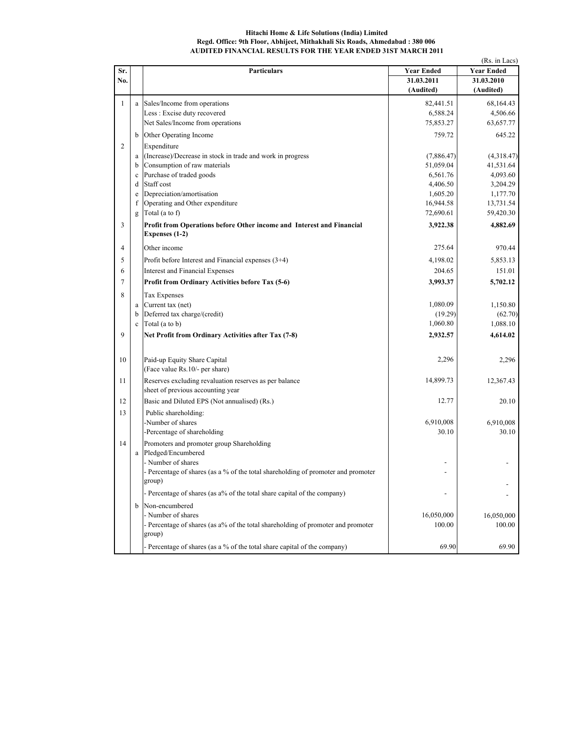## Hitachi Home & Life Solutions (India) Limited Regd. Office: 9th Floor, Abhijeet, Mithakhali Six Roads, Ahmedabad : 380 006 AUDITED FINANCIAL RESULTS FOR THE YEAR ENDED 31ST MARCH 2011

|                |             |                                                                                                                   |                   | (Rs. in Lacs)     |
|----------------|-------------|-------------------------------------------------------------------------------------------------------------------|-------------------|-------------------|
| Sr.            |             | <b>Particulars</b>                                                                                                | <b>Year Ended</b> | <b>Year Ended</b> |
| No.            |             |                                                                                                                   | 31.03.2011        | 31.03.2010        |
|                |             |                                                                                                                   | (Audited)         | (Audited)         |
| $\mathbf{1}$   | a           | Sales/Income from operations                                                                                      | 82,441.51         | 68,164.43         |
|                |             | Less : Excise duty recovered                                                                                      | 6,588.24          | 4,506.66          |
|                |             | Net Sales/Income from operations                                                                                  | 75,853.27         | 63,657.77         |
|                | b           | Other Operating Income                                                                                            | 759.72            | 645.22            |
| $\overline{c}$ |             | Expenditure                                                                                                       |                   |                   |
|                | a           | (Increase)/Decrease in stock in trade and work in progress                                                        | (7,886.47)        | (4,318.47)        |
|                | b           | Consumption of raw materials                                                                                      | 51,059.04         | 41,531.64         |
|                | $\mathbf c$ | Purchase of traded goods                                                                                          | 6,561.76          | 4,093.60          |
|                | d           | Staff cost                                                                                                        | 4,406.50          | 3,204.29          |
|                | e           | Depreciation/amortisation                                                                                         | 1,605.20          | 1,177.70          |
|                | f           | Operating and Other expenditure                                                                                   | 16,944.58         | 13,731.54         |
|                | g           | Total (a to f)                                                                                                    | 72,690.61         | 59,420.30         |
| 3              |             | Profit from Operations before Other income and Interest and Financial<br>Expenses (1-2)                           | 3,922.38          | 4,882.69          |
| $\overline{4}$ |             | Other income                                                                                                      | 275.64            | 970.44            |
| 5              |             | Profit before Interest and Financial expenses (3+4)                                                               | 4,198.02          | 5,853.13          |
| 6              |             | <b>Interest and Financial Expenses</b>                                                                            | 204.65            | 151.01            |
| $\tau$         |             | Profit from Ordinary Activities before Tax (5-6)                                                                  | 3,993.37          | 5,702.12          |
| 8              |             | <b>Tax Expenses</b>                                                                                               |                   |                   |
|                | a           | Current tax (net)                                                                                                 | 1,080.09          | 1,150.80          |
|                | b           | Deferred tax charge/(credit)                                                                                      | (19.29)           | (62.70)           |
|                | $\mathbf c$ | Total (a to b)                                                                                                    | 1,060.80          | 1,088.10          |
| 9              |             | Net Profit from Ordinary Activities after Tax (7-8)                                                               | 2,932.57          | 4,614.02          |
| 10             |             | Paid-up Equity Share Capital<br>(Face value Rs.10/- per share)                                                    | 2,296             | 2,296             |
| 11             |             | Reserves excluding revaluation reserves as per balance<br>sheet of previous accounting year                       | 14,899.73         | 12,367.43         |
| 12             |             | Basic and Diluted EPS (Not annualised) (Rs.)                                                                      | 12.77             | 20.10             |
| 13             |             | Public shareholding:                                                                                              |                   |                   |
|                |             | -Number of shares                                                                                                 | 6,910,008         | 6,910,008         |
|                |             | -Percentage of shareholding                                                                                       | 30.10             | 30.10             |
| 14             |             | Promoters and promoter group Shareholding                                                                         |                   |                   |
|                | a           | Pledged/Encumbered                                                                                                |                   |                   |
|                |             | - Number of shares<br>- Percentage of shares (as a % of the total shareholding of promoter and promoter<br>group) |                   |                   |
|                |             | Percentage of shares (as a% of the total share capital of the company)                                            | Ĭ.                |                   |
|                | b           | Non-encumbered                                                                                                    |                   |                   |
|                |             | - Number of shares                                                                                                | 16,050,000        | 16,050,000        |
|                |             | - Percentage of shares (as a% of the total shareholding of promoter and promoter<br>group)                        | 100.00            | 100.00            |
|                |             | Percentage of shares (as a % of the total share capital of the company)                                           | 69.90             | 69.90             |